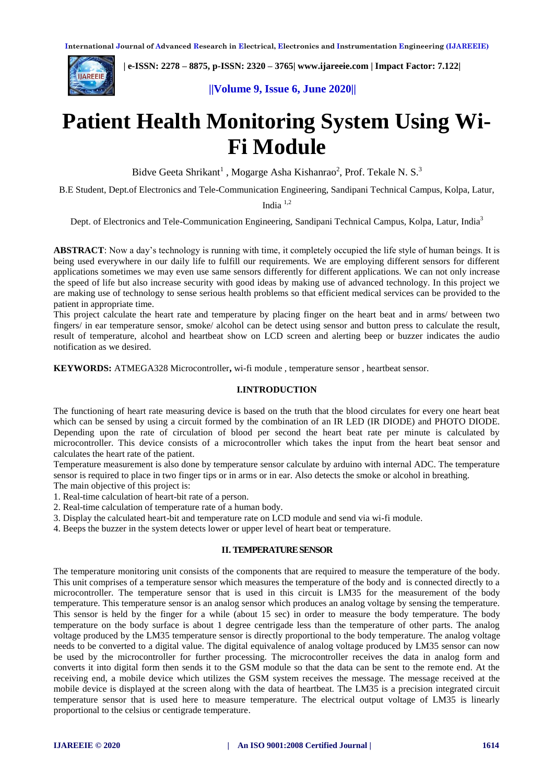

 **| e-ISSN: 2278 – 8875, p-ISSN: 2320 – 3765| [www.ijareeie.com](http://www.ijareeie.com/) | Impact Factor: 7.122|** 

# **||Volume 9, Issue 6, June 2020||**

# **Patient Health Monitoring System Using Wi-Fi Module**

Bidve Geeta Shrikant<sup>1</sup>, Mogarge Asha Kishanrao<sup>2</sup>, Prof. Tekale N. S.<sup>3</sup>

B.E Student, Dept.of Electronics and Tele-Communication Engineering, Sandipani Technical Campus, Kolpa, Latur,

India 1,2

Dept. of Electronics and Tele-Communication Engineering, Sandipani Technical Campus, Kolpa, Latur, India<sup>3</sup>

**ABSTRACT**: Now a day's technology is running with time, it completely occupied the life style of human beings. It is being used everywhere in our daily life to fulfill our requirements. We are employing different sensors for different applications sometimes we may even use same sensors differently for different applications. We can not only increase the speed of life but also increase security with good ideas by making use of advanced technology. In this project we are making use of technology to sense serious health problems so that efficient medical services can be provided to the patient in appropriate time.

This project calculate the heart rate and temperature by placing finger on the heart beat and in arms/ between two fingers/ in ear temperature sensor, smoke/ alcohol can be detect using sensor and button press to calculate the result, result of temperature, alcohol and heartbeat show on LCD screen and alerting beep or buzzer indicates the audio notification as we desired.

**KEYWORDS:** ATMEGA328 Microcontroller**,** wi-fi module , temperature sensor , heartbeat sensor.

#### **I.INTRODUCTION**

The functioning of heart rate measuring device is based on the truth that the blood circulates for every one heart beat which can be sensed by using a circuit formed by the combination of an IR LED (IR DIODE) and PHOTO DIODE. Depending upon the rate of circulation of blood per second the heart beat rate per minute is calculated by microcontroller. This device consists of a microcontroller which takes the input from the heart beat sensor and calculates the heart rate of the patient.

Temperature measurement is also done by temperature sensor calculate by arduino with internal ADC. The temperature sensor is required to place in two finger tips or in arms or in ear. Also detects the smoke or alcohol in breathing. The main objective of this project is:

1. Real-time calculation of heart-bit rate of a person.

2. Real-time calculation of temperature rate of a human body.

3. Display the calculated heart-bit and temperature rate on LCD module and send via wi-fi module.

4. Beeps the buzzer in the system detects lower or upper level of heart beat or temperature.

#### **II. TEMPERATURE SENSOR**

The temperature monitoring unit consists of the components that are required to measure the temperature of the body. This unit comprises of a temperature sensor which measures the temperature of the body and is connected directly to a microcontroller. The temperature sensor that is used in this circuit is LM35 for the measurement of the body temperature. This temperature sensor is an analog sensor which produces an analog voltage by sensing the temperature. This sensor is held by the finger for a while (about 15 sec) in order to measure the body temperature. The body temperature on the body surface is about 1 degree centrigade less than the temperature of other parts. The analog voltage produced by the LM35 temperature sensor is directly proportional to the body temperature. The analog voltage needs to be converted to a digital value. The digital equivalence of analog voltage produced by LM35 sensor can now be used by the microcontroller for further processing. The microcontroller receives the data in analog form and converts it into digital form then sends it to the GSM module so that the data can be sent to the remote end. At the receiving end, a mobile device which utilizes the GSM system receives the message. The message received at the mobile device is displayed at the screen along with the data of heartbeat. The LM35 is a precision integrated circuit temperature sensor that is used here to measure temperature. The electrical output voltage of LM35 is linearly proportional to the celsius or centigrade temperature.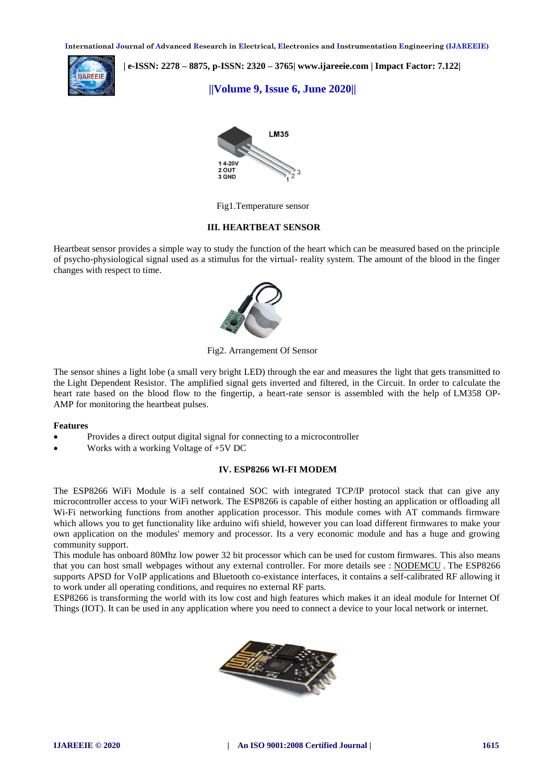**International Journal of Advanced Research in Electrical, Electronics and Instrumentation Engineering (IJAREEIE)** 



 **| e-ISSN: 2278 – 8875, p-ISSN: 2320 – 3765| [www.ijareeie.com](http://www.ijareeie.com/) | Impact Factor: 7.122|** 

 **||Volume 9, Issue 6, June 2020||** 



Fig1.Temperature sensor

#### **III. HEARTBEAT SENSOR**

Heartbeat sensor provides a simple way to study the function of the heart which can be measured based on the principle of psycho-physiological signal used as a stimulus for the virtual- reality system. The amount of the blood in the finger changes with respect to time.



Fig2. Arrangement Of Sensor

The sensor shines a light lobe (a small very bright LED) through the ear and measures the light that gets transmitted to the Light [Dependent](https://www.elprocus.com/phototransistor-basics-circuit-diagram-advantages-applications/) Resistor. The amplified signal gets inverted and filtered, in the Circuit. In order to calculate the heart rate based on the blood flow to the fingertip, a heart-rate sensor is assembled with the help of [LM358](https://www.elprocus.com/op-amp-ics-pin-configuration-features-working/) OP-[AMP](https://www.elprocus.com/op-amp-ics-pin-configuration-features-working/) for monitoring the heartbeat pulses.

#### **Features**

- Provides a direct output digital signal for connecting to a [microcontroller](https://www.elprocus.com/microcontroller-based-projects-on-8051-avr-and-pic-microcontroller/)
- Works with a working Voltage of +5V DC

#### **IV. ESP8266 WI-FI MODEM**

The ESP8266 WiFi Module is a self contained SOC with integrated TCP/IP protocol stack that can give any microcontroller access to your WiFi network. The ESP8266 is capable of either hosting an application or offloading all Wi-Fi networking functions from another application processor. This module comes with AT commands firmware which allows you to get functionality like arduino wifi shield, however you can load different firmwares to make your own application on the modules' memory and processor. Its a very economic module and has a huge and growing community support.

This module has onboard 80Mhz low power 32 bit processor which can be used for custom firmwares. This also means that you can host small webpages without any external controller. For more details see : [NODEMCU](https://github.com/nodemcu/nodemcu-firmware) . The ESP8266 supports APSD for VoIP applications and Bluetooth co-existance interfaces, it contains a self-calibrated RF allowing it to work under all operating conditions, and requires no external RF parts.

ESP8266 is transforming the world with its low cost and high features which makes it an ideal module for Internet Of Things (IOT). It can be used in any application where you need to connect a device to your local network or internet.

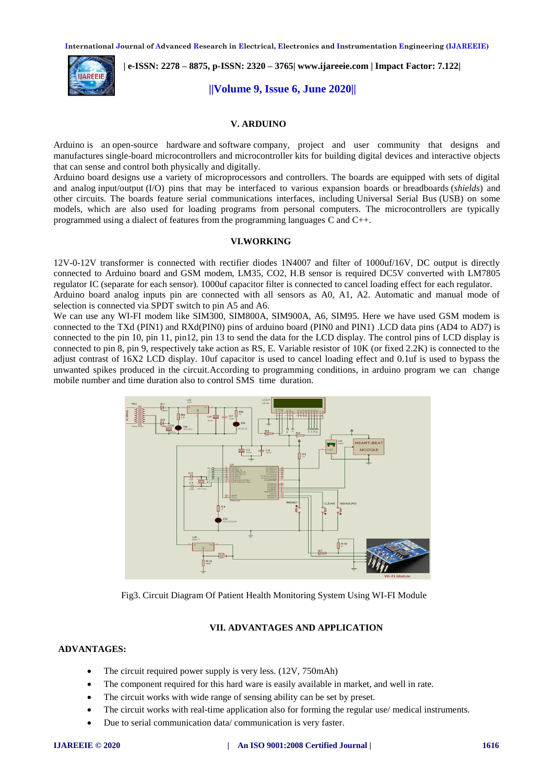**International Journal of Advanced Research in Electrical, Electronics and Instrumentation Engineering (IJAREEIE)** 



 **| e-ISSN: 2278 – 8875, p-ISSN: 2320 – 3765| [www.ijareeie.com](http://www.ijareeie.com/) | Impact Factor: 7.122|** 

# **||Volume 9, Issue 6, June 2020||**

## **V. ARDUINO**

Arduino is an [open-source hardware](https://en.wikipedia.org/wiki/Open-source_hardware) and [software](https://en.wikipedia.org/wiki/Open-source_software) company, project and user community that designs and manufactures [single-board microcontrollers](https://en.wikipedia.org/wiki/Single-board_microcontroller) and [microcontroller](https://en.wikipedia.org/wiki/Microcontroller) kits for building digital devices and interactive objects that can sense and control both physically and digitally.

Arduino board designs use a variety of microprocessors and controllers. The boards are equipped with sets of digital and analog [input/output](https://en.wikipedia.org/wiki/Input/output) (I/O) pins that may be interfaced to various expansion boards or [breadboards](https://en.wikipedia.org/wiki/Breadboards) (*shields*) and other circuits. The boards feature serial communications interfaces, including [Universal Serial Bus](https://en.wikipedia.org/wiki/Universal_Serial_Bus) (USB) on some models, which are also used for loading programs from personal computers. The microcontrollers are typically programmed using a dialect of features from the programming languages [C](https://en.wikipedia.org/wiki/C_(programming_language)) and [C++.](https://en.wikipedia.org/wiki/C%2B%2B)

#### **VI.WORKING**

12V-0-12V transformer is connected with rectifier diodes 1N4007 and filter of 1000uf/16V, DC output is directly connected to Arduino board and GSM modem, LM35, CO2, H.B sensor is required DC5V converted with LM7805 regulator IC (separate for each sensor). 1000uf capacitor filter is connected to cancel loading effect for each regulator.

Arduino board analog inputs pin are connected with all sensors as A0, A1, A2. Automatic and manual mode of selection is connected via SPDT switch to pin A5 and A6.

We can use any WI-FI modem like SIM300, SIM800A, SIM900A, A6, SIM95. Here we have used GSM modem is connected to the TXd (PIN1) and RXd(PIN0) pins of arduino board (PIN0 and PIN1) .LCD data pins (AD4 to AD7) is connected to the pin 10, pin 11, pin12, pin 13 to send the data for the LCD display. The control pins of LCD display is connected to pin 8, pin 9, respectively take action as RS, E. Variable resistor of 10K (or fixed 2.2K) is connected to the adjust contrast of 16X2 LCD display. 10uf capacitor is used to cancel loading effect and 0.1uf is used to bypass the unwanted spikes produced in the circuit.According to programming conditions, in arduino program we can change mobile number and time duration also to control SMS time duration.



Fig3. Circuit Diagram Of Patient Health Monitoring System Using WI-FI Module

# **VII. ADVANTAGES AND APPLICATION**

# **ADVANTAGES:**

- The circuit required power supply is very less. (12V, 750mAh)
- The component required for this hard ware is easily available in market, and well in rate.
- The circuit works with wide range of sensing ability can be set by preset.
- The circuit works with real-time application also for forming the regular use/ medical instruments.
- Due to serial communication data/ communication is very faster.